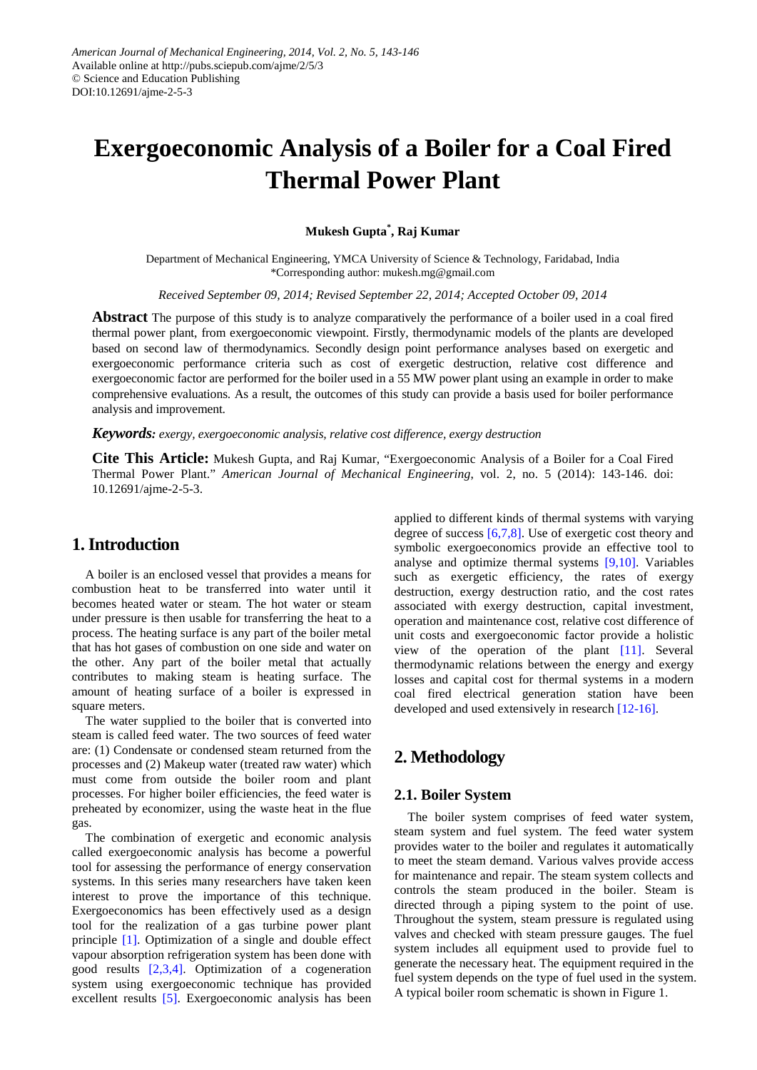# **Exergoeconomic Analysis of a Boiler for a Coal Fired Thermal Power Plant**

## **Mukesh Gupta\* , Raj Kumar**

Department of Mechanical Engineering, YMCA University of Science & Technology, Faridabad, India \*Corresponding author: mukesh.mg@gmail.com

*Received September 09, 2014; Revised September 22, 2014; Accepted October 09, 2014*

**Abstract** The purpose of this study is to analyze comparatively the performance of a boiler used in a coal fired thermal power plant, from exergoeconomic viewpoint. Firstly, thermodynamic models of the plants are developed based on second law of thermodynamics. Secondly design point performance analyses based on exergetic and exergoeconomic performance criteria such as cost of exergetic destruction, relative cost difference and exergoeconomic factor are performed for the boiler used in a 55 MW power plant using an example in order to make comprehensive evaluations. As a result, the outcomes of this study can provide a basis used for boiler performance analysis and improvement.

*Keywords: exergy, exergoeconomic analysis, relative cost difference, exergy destruction*

**Cite This Article:** Mukesh Gupta, and Raj Kumar, "Exergoeconomic Analysis of a Boiler for a Coal Fired Thermal Power Plant." *American Journal of Mechanical Engineering*, vol. 2, no. 5 (2014): 143-146. doi: 10.12691/ajme-2-5-3.

## **1. Introduction**

A boiler is an enclosed vessel that provides a means for combustion heat to be transferred into water until it becomes heated water or steam. The hot water or steam under pressure is then usable for transferring the heat to a process. The heating surface is any part of the boiler metal that has hot gases of combustion on one side and water on the other. Any part of the boiler metal that actually contributes to making steam is heating surface. The amount of heating surface of a boiler is expressed in square meters.

The water supplied to the boiler that is converted into steam is called feed water. The two sources of feed water are: (1) Condensate or condensed steam returned from the processes and (2) Makeup water (treated raw water) which must come from outside the boiler room and plant processes. For higher boiler efficiencies, the feed water is preheated by economizer, using the waste heat in the flue gas.

The combination of exergetic and economic analysis called exergoeconomic analysis has become a powerful tool for assessing the performance of energy conservation systems. In this series many researchers have taken keen interest to prove the importance of this technique. Exergoeconomics has been effectively used as a design tool for the realization of a gas turbine power plant principle [\[1\].](#page-3-0) Optimization of a single and double effect vapour absorption refrigeration system has been done with good results [\[2,3,4\].](#page-3-1) Optimization of a cogeneration system using exergoeconomic technique has provided excellent results [\[5\].](#page-3-2) Exergoeconomic analysis has been applied to different kinds of thermal systems with varying degree of success [\[6,7,8\].](#page-3-3) Use of exergetic cost theory and symbolic exergoeconomics provide an effective tool to analyse and optimize thermal systems [\[9,10\].](#page-3-4) Variables such as exergetic efficiency, the rates of exergy destruction, exergy destruction ratio, and the cost rates associated with exergy destruction, capital investment, operation and maintenance cost, relative cost difference of unit costs and exergoeconomic factor provide a holistic view of the operation of the plant [\[11\].](#page-3-5) Several thermodynamic relations between the energy and exergy losses and capital cost for thermal systems in a modern coal fired electrical generation station have been developed and used extensively in researc[h \[12-16\].](#page-3-6)

# **2. Methodology**

### **2.1. Boiler System**

The boiler system comprises of feed water system, steam system and fuel system. The feed water system provides water to the boiler and regulates it automatically to meet the steam demand. Various valves provide access for maintenance and repair. The steam system collects and controls the steam produced in the boiler. Steam is directed through a piping system to the point of use. Throughout the system, steam pressure is regulated using valves and checked with steam pressure gauges. The fuel system includes all equipment used to provide fuel to generate the necessary heat. The equipment required in the fuel system depends on the type of fuel used in the system. A typical boiler room schematic is shown in Figure 1.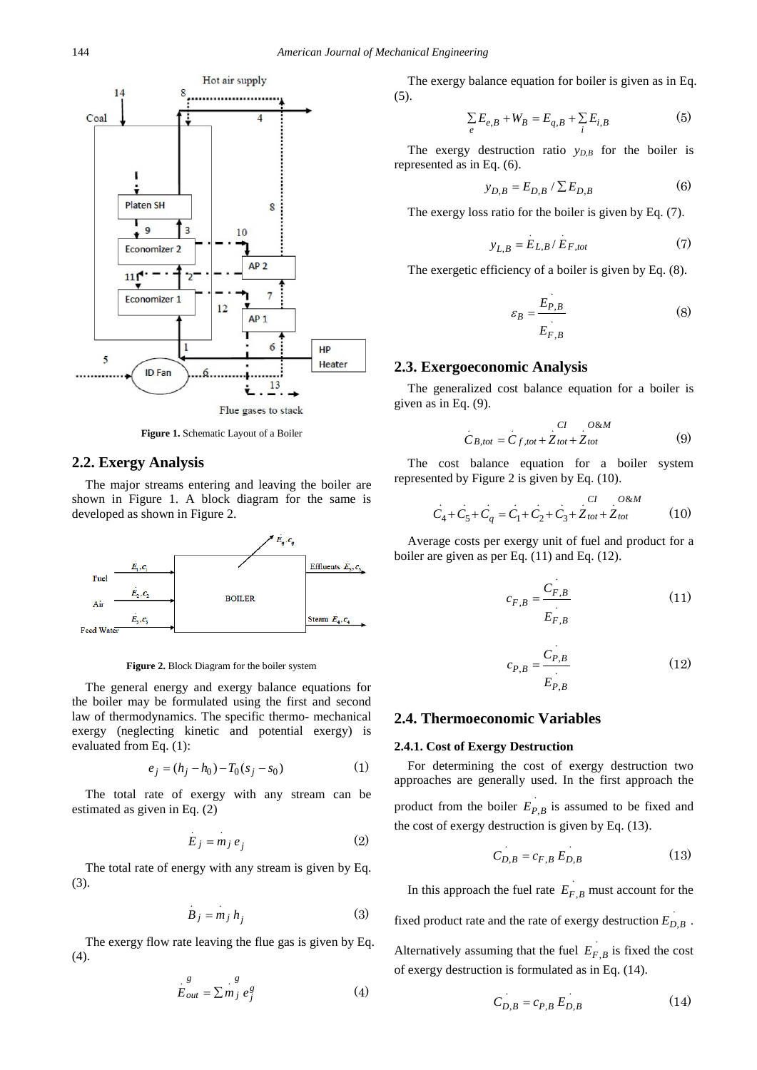

**Figure 1.** Schematic Layout of a Boiler

#### **2.2. Exergy Analysis**

The major streams entering and leaving the boiler are shown in Figure 1. A block diagram for the same is developed as shown in Figure 2.



**Figure 2.** Block Diagram for the boiler system

The general energy and exergy balance equations for the boiler may be formulated using the first and second law of thermodynamics. The specific thermo- mechanical exergy (neglecting kinetic and potential exergy) is evaluated from Eq. (1):

$$
e_j = (h_j - h_0) - T_0(s_j - s_0)
$$
 (1)

The total rate of exergy with any stream can be estimated as given in Eq. (2)

$$
E_j = m_j e_j \tag{2}
$$

The total rate of energy with any stream is given by Eq. (3).

$$
B_j = m_j h_j \tag{3}
$$

The exergy flow rate leaving the flue gas is given by Eq. (4).

$$
E_{out}^g = \sum_{j=1}^{g} m_j e_j^g \tag{4}
$$

The exergy balance equation for boiler is given as in Eq. (5).

$$
\sum_{e} E_{e,B} + W_B = E_{q,B} + \sum_{i} E_{i,B} \tag{5}
$$

The exergy destruction ratio  $y_{D,B}$  for the boiler is represented as in Eq. (6).

$$
y_{D,B} = E_{D,B} / \sum E_{D,B}
$$
 (6)

The exergy loss ratio for the boiler is given by Eq. (7).

$$
y_{L,B} = E_{L,B} / E_{F,tot} \tag{7}
$$

The exergetic efficiency of a boiler is given by Eq. (8).

$$
\varepsilon_B = \frac{E_{P,B}}{E_{F,B}}\tag{8}
$$

#### **2.3. Exergoeconomic Analysis**

The generalized cost balance equation for a boiler is given as in Eq. (9).

$$
C_{B,tot} = C_{f,tot} + Z_{tot} + Z_{tot}
$$
 (9)

The cost balance equation for a boiler system represented by Figure 2 is given by Eq. (10).

$$
C_4 + C_5 + C_q = C_1 + C_2 + C_3 + Z_{tot} + Z_{tot}
$$
 (10)

Average costs per exergy unit of fuel and product for a boiler are given as per Eq. (11) and Eq. (12).

$$
c_{F,B} = \frac{C_{F,B}}{E_{F,B}}\tag{11}
$$

$$
c_{P,B} = \frac{C_{P,B}}{E_{P,B}}\tag{12}
$$

#### **2.4. Thermoeconomic Variables**

#### **2.4.1. Cost of Exergy Destruction**

For determining the cost of exergy destruction two approaches are generally used. In the first approach the

product from the boiler  $E_{P,B}$  is assumed to be fixed and the cost of exergy destruction is given by Eq. (13).

$$
C_{D,B} = c_{F,B} E_{D,B} \tag{13}
$$

In this approach the fuel rate  $E_{F,B}$  must account for the

fixed product rate and the rate of exergy destruction  $E_{D,B}$ .

Alternatively assuming that the fuel  $E_{F,B}$  is fixed the cost of exergy destruction is formulated as in Eq. (14).

$$
C_{D,B} = c_{P,B} E_{D,B}
$$
 (14)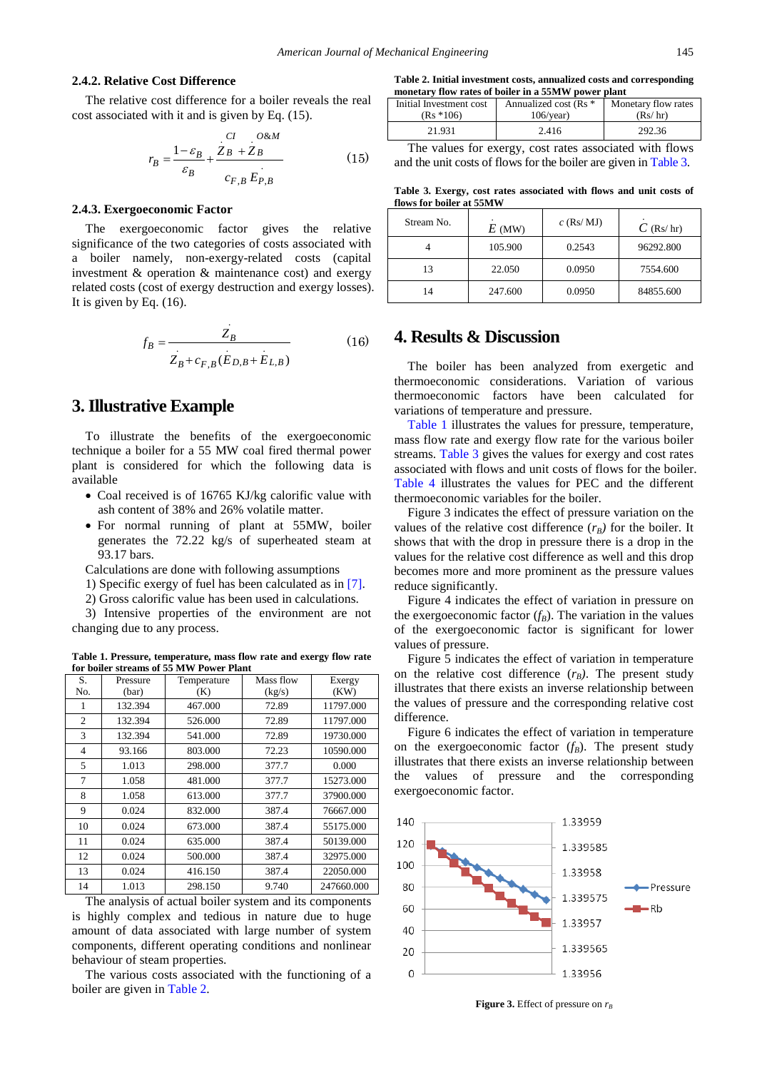#### **2.4.2. Relative Cost Difference**

The relative cost difference for a boiler reveals the real cost associated with it and is given by Eq. (15).

$$
r_B = \frac{1 - \varepsilon_B}{\varepsilon_B} + \frac{Z_B + Z_B}{c_{F,B} E_{P,B}}
$$
(15)

#### **2.4.3. Exergoeconomic Factor**

The exergoeconomic factor gives the relative significance of the two categories of costs associated with a boiler namely, non-exergy-related costs (capital investment & operation & maintenance cost) and exergy related costs (cost of exergy destruction and exergy losses). It is given by Eq. (16).

$$
f_B = \frac{Z_B}{Z_B + c_{F,B}(E_{D,B} + E_{L,B})}
$$
(16)

## **3. Illustrative Example**

To illustrate the benefits of the exergoeconomic technique a boiler for a 55 MW coal fired thermal power plant is considered for which the following data is available

- Coal received is of 16765 KJ/kg calorific value with ash content of 38% and 26% volatile matter.
- For normal running of plant at 55MW, boiler generates the 72.22 kg/s of superheated steam at 93.17 bars.

Calculations are done with following assumptions

- 1) Specific exergy of fuel has been calculated as in [\[7\].](#page-3-7)
- 2) Gross calorific value has been used in calculations.

3) Intensive properties of the environment are not changing due to any process.

**Table 1. Pressure, temperature, mass flow rate and exergy flow rate for boiler streams of 55 MW Power Plant**

<span id="page-2-2"></span>

| S.             | Pressure | Temperature | Mass flow | Exergy     |
|----------------|----------|-------------|-----------|------------|
| No.            | (bar)    | (K)         | (kg/s)    | (KW)       |
| 1              | 132.394  | 467.000     | 72.89     | 11797.000  |
| 2              | 132.394  | 526.000     | 72.89     | 11797.000  |
| 3              | 132.394  | 541.000     | 72.89     | 19730.000  |
| $\overline{4}$ | 93.166   | 803.000     | 72.23     | 10590.000  |
| 5              | 1.013    | 298,000     | 377.7     | 0.000      |
| 7              | 1.058    | 481.000     | 377.7     | 15273.000  |
| 8              | 1.058    | 613.000     | 377.7     | 37900.000  |
| 9              | 0.024    | 832.000     | 387.4     | 76667.000  |
| 10             | 0.024    | 673.000     | 387.4     | 55175.000  |
| 11             | 0.024    | 635.000     | 387.4     | 50139.000  |
| 12             | 0.024    | 500.000     | 387.4     | 32975.000  |
| 13             | 0.024    | 416.150     | 387.4     | 22050.000  |
| 14             | 1.013    | 298.150     | 9.740     | 247660.000 |

The analysis of actual boiler system and its components is highly complex and tedious in nature due to huge amount of data associated with large number of system components, different operating conditions and nonlinear behaviour of steam properties.

The various costs associated with the functioning of a boiler are given in [Table 2.](#page-2-0)

**Table 2. Initial investment costs, annualized costs and corresponding monetary flow rates of boiler in a 55MW power plant**

<span id="page-2-0"></span>

| Initial Investment cost | Annualized cost (Rs * | Monetary flow rates |  |
|-------------------------|-----------------------|---------------------|--|
| $(Rs * 106)$            | $106$ /year)          | (Rs/hr)             |  |
| 21.931                  | 2.416                 | 292.36              |  |

The values for exergy, cost rates associated with flows and the unit costs of flows for the boiler are given in [Table 3.](#page-2-1)

**Table 3. Exergy, cost rates associated with flows and unit costs of flows for boiler at 55MW**

<span id="page-2-1"></span>

| Stream No. | $E$ (MW) | $c$ (Rs/ MJ) | $C$ (Rs/hr) |
|------------|----------|--------------|-------------|
|            | 105.900  | 0.2543       | 96292.800   |
| 13         | 22.050   | 0.0950       | 7554.600    |
|            | 247.600  | 0.0950       | 84855.600   |

# **4. Results & Discussion**

The boiler has been analyzed from exergetic and thermoeconomic considerations. Variation of various thermoeconomic factors have been calculated for variations of temperature and pressure.

[Table 1](#page-2-2) illustrates the values for pressure, temperature, mass flow rate and exergy flow rate for the various boiler streams. [Table 3](#page-2-1) gives the values for exergy and cost rates associated with flows and unit costs of flows for the boiler. Table 4 illustrates the values for PEC and the different thermoeconomic variables for the boiler.

Figure 3 indicates the effect of pressure variation on the values of the relative cost difference  $(r_B)$  for the boiler. It shows that with the drop in pressure there is a drop in the values for the relative cost difference as well and this drop becomes more and more prominent as the pressure values reduce significantly.

Figure 4 indicates the effect of variation in pressure on the exergoeconomic factor  $(f_B)$ . The variation in the values of the exergoeconomic factor is significant for lower values of pressure.

Figure 5 indicates the effect of variation in temperature on the relative cost difference  $(r_B)$ . The present study illustrates that there exists an inverse relationship between the values of pressure and the corresponding relative cost difference.

Figure 6 indicates the effect of variation in temperature on the exergoeconomic factor  $(f_B)$ . The present study illustrates that there exists an inverse relationship between the values of pressure and the corresponding exergoeconomic factor.



**Figure** 3. Effect of pressure on  $r_B$